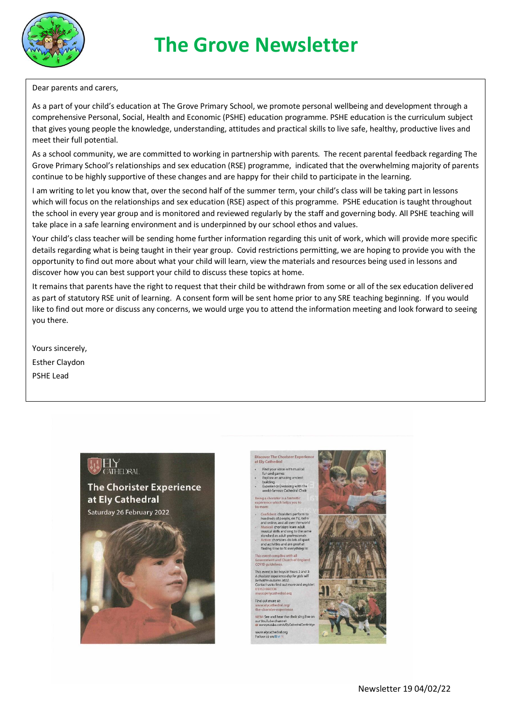

# **The Grove Newsletter**

Dear parents and carers,

As a part of your child's education at The Grove Primary School, we promote personal wellbeing and development through a comprehensive Personal, Social, Health and Economic (PSHE) education programme. PSHE education is the curriculum subject that gives young people the knowledge, understanding, attitudes and practical skills to live safe, healthy, productive lives and meet their full potential.

As a school community, we are committed to working in partnership with parents. The recent parental feedback regarding The Grove Primary School's relationships and sex education (RSE) programme, indicated that the overwhelming majority of parents continue to be highly supportive of these changes and are happy for their child to participate in the learning.

I am writing to let you know that, over the second half of the summer term, your child's class will be taking part in lessons which will focus on the relationships and sex education (RSE) aspect of this programme. PSHE education is taught throughout the school in every year group and is monitored and reviewed regularly by the staff and governing body. All PSHE teaching will take place in a safe learning environment and is underpinned by our school ethos and values.

Your child's class teacher will be sending home further information regarding this unit of work, which will provide more specific details regarding what is being taught in their year group. Covid restrictions permitting, we are hoping to provide you with the opportunity to find out more about what your child will learn, view the materials and resources being used in lessons and discover how you can best support your child to discuss these topics at home.

It remains that parents have the right to request that their child be withdrawn from some or all of the sex education delivered as part of statutory RSE unit of learning. A consent form will be sent home prior to any SRE teaching beginning. If you would like to find out more or discuss any concerns, we would urge you to attend the information meeting and look forward to seeing you there.

Yours sincerely, Esther Claydon PSHE Lead



**ATHEDRAL** 

over The Chorister Experier<br>, Cathedral

Find your voice with musical<br>fun and games<br>Explore an amazing ancient ce Evensong with the<br>pous Cathedral Choir

Confident: choristers perform to<br>hundreds of people, on TV, radio<br>and online, and all over the world<br>Musical: choristers learn adult<br>musical skills and sing to the sar<br>standard as adult professionals do lots of sp .<br>Witles and are great a<br>time to fit everything

nt complies with all<br>nent and Church of England This event is for boys in Years 2 and 3

held in autumn 2022.<br>ntact us to find out more and regist Find out more at:<br>www.elycathedral.org

the-chorister-experience<br>NEW! See and hear the choir sing li<br>our YouTube channel:<br>Climan was and the com/c/FixCathedralCam www.elycathedral.org<br>Follow us on **Kivics** 

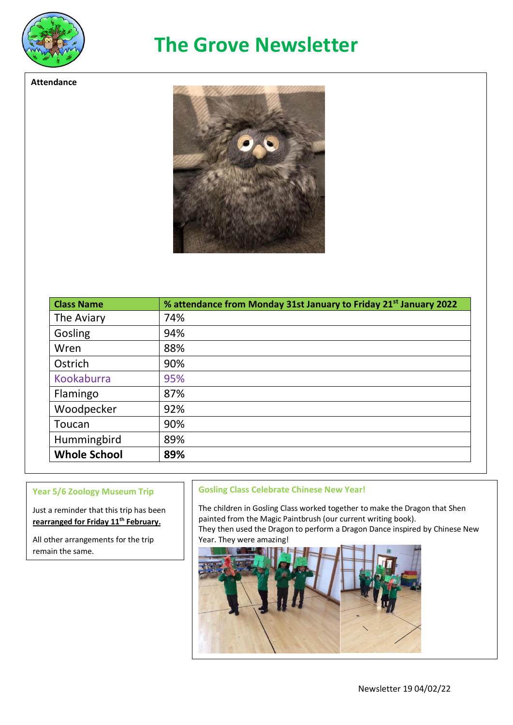

**Attendance**

### **The Grove Newsletter**



| <b>Class Name</b>   | % attendance from Monday 31st January to Friday 21 <sup>st</sup> January 2022 |
|---------------------|-------------------------------------------------------------------------------|
| The Aviary          | 74%                                                                           |
| Gosling             | 94%                                                                           |
| Wren                | 88%                                                                           |
| Ostrich             | 90%                                                                           |
| Kookaburra          | 95%                                                                           |
| Flamingo            | 87%                                                                           |
| Woodpecker          | 92%                                                                           |
| Toucan              | 90%                                                                           |
| Hummingbird         | 89%                                                                           |
| <b>Whole School</b> | 89%                                                                           |

#### **Year 5/6 Zoology Museum Trip**

Just a reminder that this trip has been **rearranged for Friday 11th February.**

All other arrangements for the trip remain the same.

### **Gosling Class Celebrate Chinese New Year!**

The children in Gosling Class worked together to make the Dragon that Shen painted from the Magic Paintbrush (our current writing book). They then used the Dragon to perform a Dragon Dance inspired by Chinese New